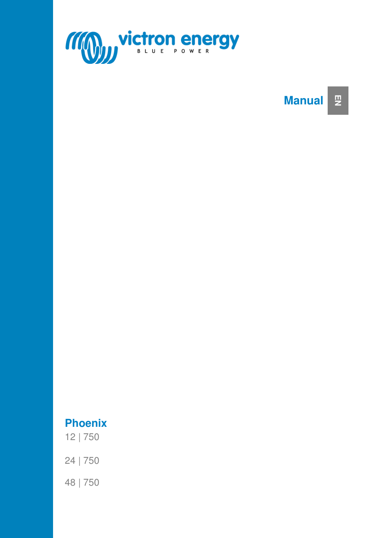

## **Manual EN**

# **Phoenix**

12 | 750

24 | 750

48 | 750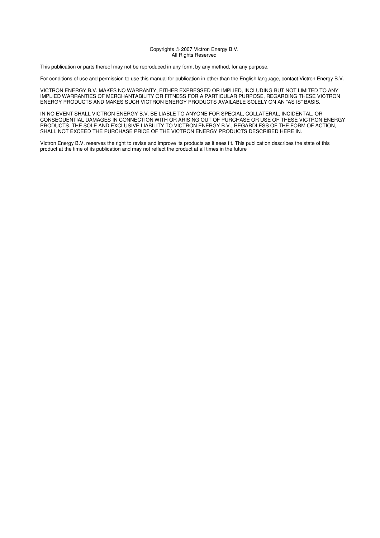#### Copyrights © 2007 Victron Energy B.V. All Rights Reserved

This publication or parts thereof may not be reproduced in any form, by any method, for any purpose.

For conditions of use and permission to use this manual for publication in other than the English language, contact Victron Energy B.V.

VICTRON ENERGY B.V. MAKES NO WARRANTY, EITHER EXPRESSED OR IMPLIED, INCLUDING BUT NOT LIMITED TO ANY IMPLIED WARRANTIES OF MERCHANTABILITY OR FITNESS FOR A PARTICULAR PURPOSE, REGARDING THESE VICTRON ENERGY PRODUCTS AND MAKES SUCH VICTRON ENERGY PRODUCTS AVAILABLE SOLELY ON AN "AS IS" BASIS.

IN NO EVENT SHALL VICTRON ENERGY B.V. BE LIABLE TO ANYONE FOR SPECIAL, COLLATERAL, INCIDENTAL, OR CONSEQUENTIAL DAMAGES IN CONNECTION WITH OR ARISING OUT OF PURCHASE OR USE OF THESE VICTRON ENERGY PRODUCTS. THE SOLE AND EXCLUSIVE LIABILITY TO VICTRON ENERGY B.V., REGARDLESS OF THE FORM OF ACTION, SHALL NOT EXCEED THE PURCHASE PRICE OF THE VICTRON ENERGY PRODUCTS DESCRIBED HERE IN.

Victron Energy B.V. reserves the right to revise and improve its products as it sees fit. This publication describes the state of this product at the time of its publication and may not reflect the product at all times in the future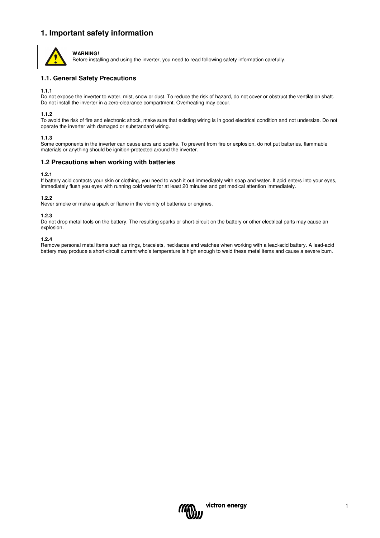## **1. Important safety information**



**WARNING!** Before installing and using the inverter, you need to read following safety information carefully.

## **1.1. General Safety Precautions**

#### **1.1.1**

Do not expose the inverter to water, mist, snow or dust. To reduce the risk of hazard, do not cover or obstruct the ventilation shaft. Do not install the inverter in a zero-clearance compartment. Overheating may occur.

#### **1.1.2**

To avoid the risk of fire and electronic shock, make sure that existing wiring is in good electrical condition and not undersize. Do not operate the inverter with damaged or substandard wiring.

#### **1.1.3**

Some components in the inverter can cause arcs and sparks. To prevent from fire or explosion, do not put batteries, flammable materials or anything should be ignition-protected around the inverter.

#### **1.2 Precautions when working with batteries**

#### **1.2.1**

If battery acid contacts your skin or clothing, you need to wash it out immediately with soap and water. If acid enters into your eyes, immediately flush you eyes with running cold water for at least 20 minutes and get medical attention immediately.

#### **1.2.2**

Never smoke or make a spark or flame in the vicinity of batteries or engines.

#### **1.2.3**

Do not drop metal tools on the battery. The resulting sparks or short-circuit on the battery or other electrical parts may cause an explosion.

#### **1.2.4**

Remove personal metal items such as rings, bracelets, necklaces and watches when working with a lead-acid battery. A lead-acid battery may produce a short-circuit current who's temperature is high enough to weld these metal items and cause a severe burn.

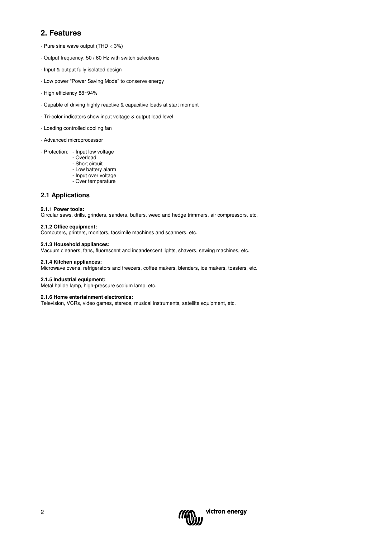# **2. Features**

- Pure sine wave output (THD < 3%)
- Output frequency: 50 / 60 Hz with switch selections
- Input & output fully isolated design
- Low power "Power Saving Mode" to conserve energy
- High efficiency 88~94%
- Capable of driving highly reactive & capacitive loads at start moment
- Tri-color indicators show input voltage & output load level
- Loading controlled cooling fan
- Advanced microprocessor
- Protection: Input low voltage
	- Overload
	- Short circuit
	- Low battery alarm
	- Input over voltage - Over temperature

## **2.1 Applications**

#### **2.1.1 Power tools:**

Circular saws, drills, grinders, sanders, buffers, weed and hedge trimmers, air compressors, etc.

#### **2.1.2 Office equipment:**

Computers, printers, monitors, facsimile machines and scanners, etc.

#### **2.1.3 Household appliances:**

Vacuum cleaners, fans, fluorescent and incandescent lights, shavers, sewing machines, etc.

#### **2.1.4 Kitchen appliances:**

Microwave ovens, refrigerators and freezers, coffee makers, blenders, ice makers, toasters, etc.

#### **2.1.5 Industrial equipment:**

Metal halide lamp, high-pressure sodium lamp, etc.

#### **2.1.6 Home entertainment electronics:**

Television, VCRs, video games, stereos, musical instruments, satellite equipment, etc.

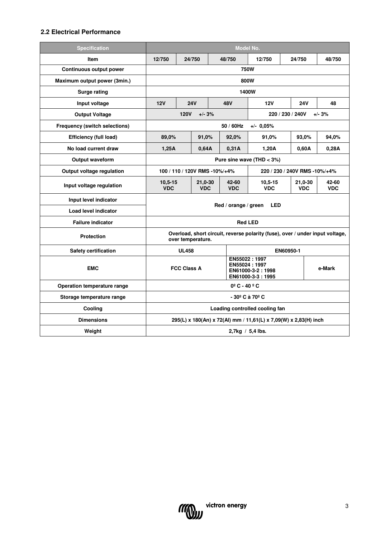## **2.2 Electrical Performance**

| <b>Specification</b>                 | <b>Model No.</b>                                                                                   |                                                                |                                                                       |        |                     |                         |        |                       |                     |
|--------------------------------------|----------------------------------------------------------------------------------------------------|----------------------------------------------------------------|-----------------------------------------------------------------------|--------|---------------------|-------------------------|--------|-----------------------|---------------------|
| Item                                 | 12/750<br>24/750<br>48/750                                                                         |                                                                |                                                                       | 12/750 | 24/750              |                         | 48/750 |                       |                     |
| <b>Continuous output power</b>       | <b>750W</b>                                                                                        |                                                                |                                                                       |        |                     |                         |        |                       |                     |
| Maximum output power (3min.)         | 800W                                                                                               |                                                                |                                                                       |        |                     |                         |        |                       |                     |
| <b>Surge rating</b>                  | 1400W                                                                                              |                                                                |                                                                       |        |                     |                         |        |                       |                     |
| Input voltage                        | 12V                                                                                                |                                                                | <b>24V</b>                                                            |        | 48V                 | 12V                     |        | <b>24V</b>            | 48                  |
| <b>Output Voltage</b>                | <b>120V</b><br>$+/- 3%$<br>220 / 230 / 240V<br>$+/- 3%$                                            |                                                                |                                                                       |        |                     |                         |        |                       |                     |
| <b>Frequency (switch selections)</b> |                                                                                                    |                                                                |                                                                       |        | 50 / 60Hz           | $+/-$ 0.05%             |        |                       |                     |
| <b>Efficiency (full load)</b>        | 89,0%                                                                                              |                                                                | 91,0%                                                                 |        | 92,0%               | 91.0%                   |        | 93,0%                 | 94,0%               |
| No load current draw                 | 1,25A                                                                                              |                                                                | 0,64A                                                                 |        | 0,31A               | 1,20A                   |        | 0,60A                 | 0,28A               |
| Output waveform                      | Pure sine wave (THD $<$ 3%)                                                                        |                                                                |                                                                       |        |                     |                         |        |                       |                     |
| Output voltage regulation            |                                                                                                    | 100 / 110 / 120V RMS -10%/+4%<br>220 / 230 / 240V RMS -10%/+4% |                                                                       |        |                     |                         |        |                       |                     |
| Input voltage regulation             | $10,5-15$<br><b>VDC</b>                                                                            |                                                                | 21,0-30<br><b>VDC</b>                                                 |        | 42-60<br><b>VDC</b> | $10,5-15$<br><b>VDC</b> |        | 21,0-30<br><b>VDC</b> | 42-60<br><b>VDC</b> |
| Input level indicator                |                                                                                                    |                                                                |                                                                       |        |                     |                         |        |                       |                     |
| Load level indicator                 | Red / orange / green<br><b>LED</b>                                                                 |                                                                |                                                                       |        |                     |                         |        |                       |                     |
| <b>Failure indicator</b>             | <b>Red LED</b>                                                                                     |                                                                |                                                                       |        |                     |                         |        |                       |                     |
| <b>Protection</b>                    | Overload, short circuit, reverse polarity (fuse), over / under input voltage,<br>over temperature. |                                                                |                                                                       |        |                     |                         |        |                       |                     |
| <b>Safety certification</b>          | EN60950-1<br><b>UL458</b>                                                                          |                                                                |                                                                       |        |                     |                         |        |                       |                     |
| <b>EMC</b>                           | <b>FCC Class A</b>                                                                                 |                                                                | EN55022:1997<br>EN55024:1997<br>EN61000-3-2:1998<br>EN61000-3-3: 1995 |        |                     | e-Mark                  |        |                       |                     |
| Operation temperature range          | $0^{\circ}$ C - 40 $^{\circ}$ C                                                                    |                                                                |                                                                       |        |                     |                         |        |                       |                     |
| Storage temperature range            | - 30º C à 70º C                                                                                    |                                                                |                                                                       |        |                     |                         |        |                       |                     |
| Cooling                              | Loading controlled cooling fan                                                                     |                                                                |                                                                       |        |                     |                         |        |                       |                     |
| <b>Dimensions</b>                    | 295(L) x 180(An) x 72(Al) mm / 11,61(L) x 7,09(W) x 2,83(H) inch                                   |                                                                |                                                                       |        |                     |                         |        |                       |                     |
| Weight                               | $2.7$ kg / 5.4 lbs.                                                                                |                                                                |                                                                       |        |                     |                         |        |                       |                     |

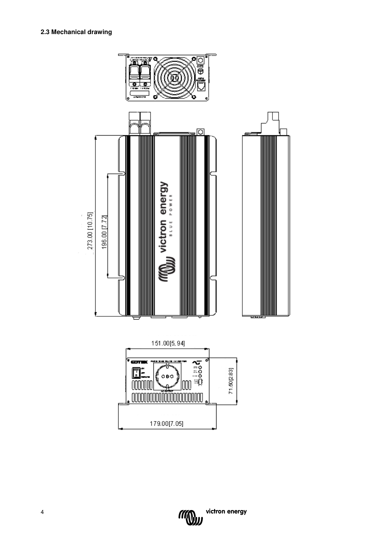



victron energy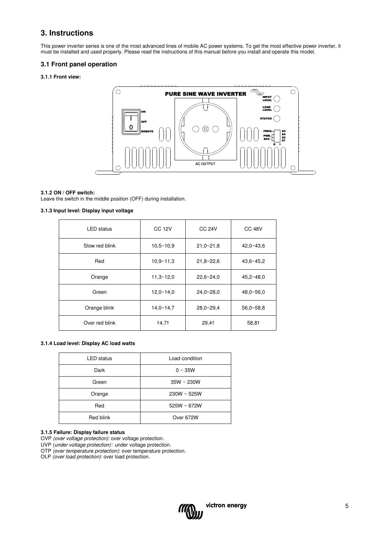## **3. Instructions**

This power inverter series is one of the most advanced lines of mobile AC power systems. To get the most effective power inverter, it must be installed and used properly. Please read the instructions of this manual before you install and operate this model.

## **3.1 Front panel operation**

#### **3.1.1 Front view:**



## **3.1.2 ON / OFF switch:**

Leave the switch in the middle position (OFF) during installation.

#### **3.1.3 Input level: Display input voltage**

| <b>LED</b> status | <b>CC 12V</b> | <b>CC 24V</b> | <b>CC 48V</b> |
|-------------------|---------------|---------------|---------------|
| Slow red blink    | $10.5 - 10.9$ | $21.0 - 21.8$ | $42.0 - 43.6$ |
| Red               | $10.9 - 11.3$ | $21.8 - 22.6$ | $43.6 - 45.2$ |
| Orange            | $11,3 - 12,0$ | $22.6 - 24.0$ | $45,2 - 48,0$ |
| Green             | $12.0 - 14.0$ | $24.0 - 28.0$ | $48.0 - 56.0$ |
| Orange blink      | $14.0 - 14.7$ | $28.0 - 29.4$ | $56.0 - 58.8$ |
| Over red blink    | 14,71         | 29,41         | 58,81         |

#### **3.1.4 Load level: Display AC load watts**

| <b>LED</b> status | Load condition   |
|-------------------|------------------|
| Dark              | $0 \sim 35W$     |
| Green             | $35W \sim 230W$  |
| Orange            | $230W \sim 525W$ |
| Red               | $525W \sim 672W$ |
| Red blink         | Over 672W        |

#### **3.1.5 Failure: Display failure status**

OVP (over voltage protection): over voltage protection.

UVP (under voltage protection): under voltage protection.

OTP (over temperature protection): over temperature protection.

OLP (over load protection): over load protection.

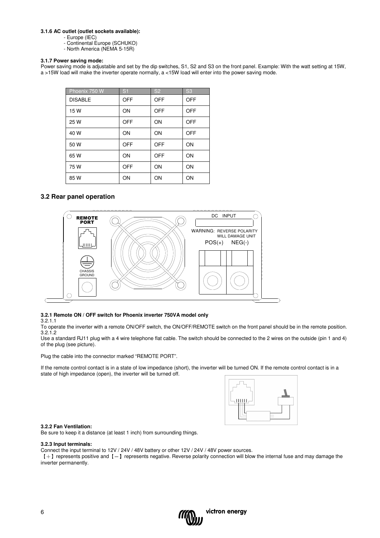#### **3.1.6 AC outlet (outlet sockets available):**

- Europe (IEC)
- Continental Europe (SCHUKO)
- North America (NEMA 5-15R)

#### **3.1.7 Power saving mode:**

Power saving mode is adjustable and set by the dip switches, S1, S2 and S3 on the front panel. Example: With the watt setting at 15W, a >15W load will make the inverter operate normally, a <15W load will enter into the power saving mode.

| Phoenix 750 W  | S <sub>1</sub> | <b>S2</b>  | S <sub>3</sub> |
|----------------|----------------|------------|----------------|
| <b>DISABLE</b> | OFF            | <b>OFF</b> | <b>OFF</b>     |
| 15 W           | ON             | <b>OFF</b> | <b>OFF</b>     |
| 25 W           | OFF            | ON         | OFF            |
| 40 W           | ON             | ON         | <b>OFF</b>     |
| 50 W           | OFF            | <b>OFF</b> | ON             |
| 65 W           | ON             | <b>OFF</b> | ON             |
| 75 W           | OFF            | ON         | ON             |
| 85 W           | ON             | ON         | ON             |

## **3.2 Rear panel operation**



## **3.2.1 Remote ON / OFF switch for Phoenix inverter 750VA model only**

3.2.1.1

To operate the inverter with a remote ON/OFF switch, the ON/OFF/REMOTE switch on the front panel should be in the remote position. 3.2.1.2

Use a standard RJ11 plug with a 4 wire telephone flat cable. The switch should be connected to the 2 wires on the outside (pin 1 and 4) of the plug (see picture).

Plug the cable into the connector marked "REMOTE PORT".

If the remote control contact is in a state of low impedance (short), the inverter will be turned ON. If the remote control contact is in a state of high impedance (open), the inverter will be turned off.



#### **3.2.2 Fan Ventilation:**

Be sure to keep it a distance (at least 1 inch) from surrounding things.

#### **3.2.3 Input terminals:**

Connect the input terminal to 12V / 24V / 48V battery or other 12V / 24V / 48V power sources.

【+】represents positive and【-】represents negative. Reverse polarity connection will blow the internal fuse and may damage the inverter permanently.

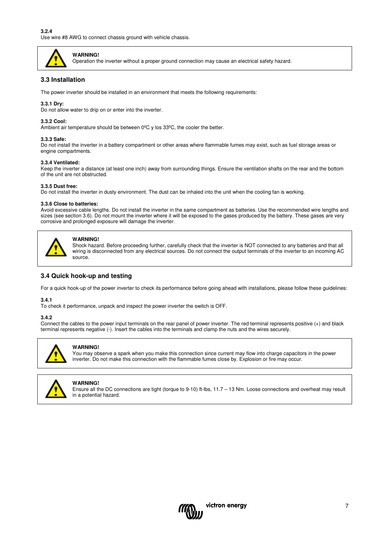

## **WARNING!**

Operation the inverter without a proper ground connection may cause an electrical safety hazard.

## **3.3 Installation**

The power inverter should be installed in an environment that meets the following requirements:

#### **3.3.1 Dry:**

Do not allow water to drip on or enter into the inverter.

#### **3.3.2 Cool:**

Ambient air temperature should be between 0°C y los 33°C, the cooler the better.

#### **3.3.3 Safe:**

Do not install the inverter in a battery compartment or other areas where flammable fumes may exist, such as fuel storage areas or engine compartments.

#### **3.3.4 Ventilated:**

Keep the inverter a distance (at least one inch) away from surrounding things. Ensure the ventilation shafts on the rear and the bottom of the unit are not obstructed.

#### **3.3.5 Dust free:**

Do not install the inverter in dusty environment. The dust can be inhaled into the unit when the cooling fan is working.

#### **3.3.6 Close to batteries:**

Avoid excessive cable lengths. Do not install the inverter in the same compartment as batteries. Use the recommended wire lengths and sizes (see section 3.6). Do not mount the inverter where it will be exposed to the gases produced by the battery. These gases are very corrosive and prolonged exposure will damage the inverter.



#### **WARNING!**

Shock hazard. Before proceeding further, carefully check that the inverter is NOT connected to any batteries and that all wiring is disconnected from any electrical sources. Do not connect the output terminals of the inverter to an incoming AC source.

#### **3.4 Quick hook-up and testing**

For a quick hook-up of the power inverter to check its performance before going ahead with installations, please follow these guidelines:

#### **3.4.1**

To check it performance, unpack and inspect the power inverter the switch is OFF.

#### **3.4.2**

Connect the cables to the power input terminals on the rear panel of power inverter. The red terminal represents positive (+) and black terminal represents negative (-). Insert the cables into the terminals and clamp the nuts and the wires securely.



#### **WARNING!**

You may observe a spark when you make this connection since current may flow into charge capacitors in the power inverter. Do not make this connection with the flammable fumes close by. Explosion or fire may occur.



#### **WARNING!**

Ensure all the DC connections are tight (torque to 9-10) ft-lbs, 11.7 – 13 Nm. Loose connections and overheat may result in a potential hazard.

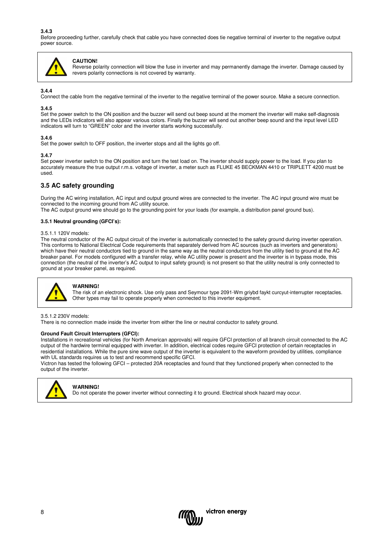**3.4.3** 

Before proceeding further, carefully check that cable you have connected does tie negative terminal of inverter to the negative output power source.



### **CAUTION!**

Reverse polarity connection will blow the fuse in inverter and may permanently damage the inverter. Damage caused by revers polarity connections is not covered by warranty.

#### **3.4.4**

Connect the cable from the negative terminal of the inverter to the negative terminal of the power source. Make a secure connection.

#### **3.4.5**

Set the power switch to the ON position and the buzzer will send out beep sound at the moment the inverter will make self-diagnosis and the LEDs indicators will also appear various colors. Finally the buzzer will send out another beep sound and the input level LED indicators will turn to "GREEN" color and the inverter starts working successfully.

#### **3.4.6**

Set the power switch to OFF position, the inverter stops and all the lights go off.

#### **3.4.7**

Set power inverter switch to the ON position and turn the test load on. The inverter should supply power to the load. If you plan to accurately measure the true output r.m.s. voltage of inverter, a meter such as FLUKE 45 BECKMAN 4410 or TRIPLETT 4200 must be used.

## **3.5 AC safety grounding**

During the AC wiring installation, AC input and output ground wires are connected to the inverter. The AC input ground wire must be connected to the incoming ground from AC utility source.

The AC output ground wire should go to the grounding point for your loads (for example, a distribution panel ground bus).

#### **3.5.1 Neutral grounding (GFCI's):**

#### 3.5.1.1 120V models:

The neutral conductor of the AC output circuit of the inverter is automatically connected to the safety ground during inverter operation. This conforms to National Electrical Code requirements that separately derived from AC sources (such as inverters and generators) which have their neutral conductors tied to ground in the same way as the neutral conductors from the utility tied to ground at the AC breaker panel. For models configured with a transfer relay, while AC utility power is present and the inverter is in bypass mode, this connection (the neutral of the inverter's AC output to input safety ground) is not present so that the utility neutral is only connected to ground at your breaker panel, as required.



#### **WARNING!**

The risk of an electronic shock. Use only pass and Seymour type 2091-Wm griybd faykt curcyut-interrupter receptacles. Other types may fail to operate properly when connected to this inverter equipment.

#### 3.5.1.2 230V models:

There is no connection made inside the inverter from either the line or neutral conductor to safety ground.

#### **Ground Fault Circuit Interrupters (GFCI):**

Installations in recreational vehicles (for North American approvals) will require GFCI protection of all branch circuit connected to the AC output of the hardwire terminal equipped with inverter. In addition, electrical codes require GFCI protection of certain receptacles in residential installations. While the pure sine wave output of the inverter is equivalent to the waveform provided by utilities, compliance with UL standards requires us to test and recommend specific GFCI.

Victron has tested the following GFCI – protected 20A receptacles and found that they functioned properly when connected to the output of the inverter.



#### **WARNING!**

Do not operate the power inverter without connecting it to ground. Electrical shock hazard may occur.

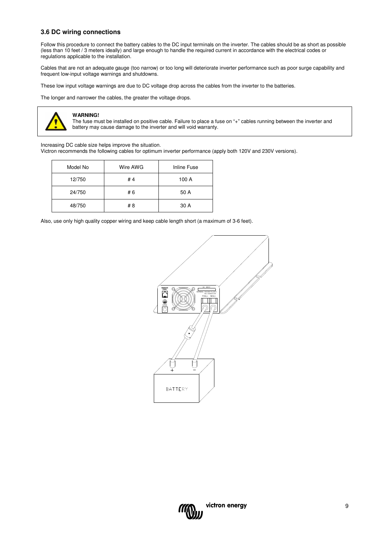## **3.6 DC wiring connections**

Follow this procedure to connect the battery cables to the DC input terminals on the inverter. The cables should be as short as possible (less than 10 feet / 3 meters ideally) and large enough to handle the required current in accordance with the electrical codes or regulations applicable to the installation.

Cables that are not an adequate gauge (too narrow) or too long will deteriorate inverter performance such as poor surge capability and frequent low-input voltage warnings and shutdowns.

These low input voltage warnings are due to DC voltage drop across the cables from the inverter to the batteries.

The longer and narrower the cables, the greater the voltage drops.



#### **WARNING!**

The fuse must be installed on positive cable. Failure to place a fuse on "+" cables running between the inverter and battery may cause damage to the inverter and will void warranty.

Increasing DC cable size helps improve the situation.

Victron recommends the following cables for optimum inverter performance (apply both 120V and 230V versions).

| Model No | Wire AWG | Inline Fuse |
|----------|----------|-------------|
| 12/750   | #4       | 100 A       |
| 24/750   | # 6      | 50 A        |
| 48/750   | # 8      | 30 A        |

Also, use only high quality copper wiring and keep cable length short (a maximum of 3-6 feet).



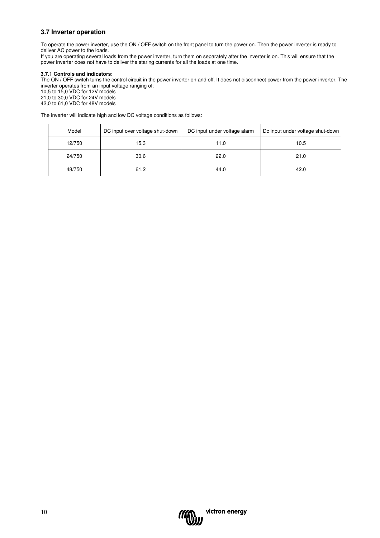## **3.7 Inverter operation**

To operate the power inverter, use the ON / OFF switch on the front panel to turn the power on. Then the power inverter is ready to deliver AC power to the loads.

If you are operating several loads from the power inverter, turn them on separately after the inverter is on. This will ensure that the power inverter does not have to deliver the staring currents for all the loads at one time.

#### **3.7.1 Controls and indicators:**

The ON / OFF switch turns the control circuit in the power inverter on and off. It does not disconnect power from the power inverter. The inverter operates from an input voltage ranging of:

10,5 to 15,0 VDC for 12V models 21,0 to 30,0 VDC for 24V models 42,0 to 61,0 VDC for 48V models

The inverter will indicate high and low DC voltage conditions as follows:

| Model  | DC input over voltage shut-down | DC input under voltage alarm | Do input under voltage shut-down |
|--------|---------------------------------|------------------------------|----------------------------------|
| 12/750 | 15.3                            | 11.0                         | 10.5                             |
| 24/750 | 30.6                            | 22.0                         | 21.0                             |
| 48/750 | 61.2                            | 44.0                         | 42.0                             |

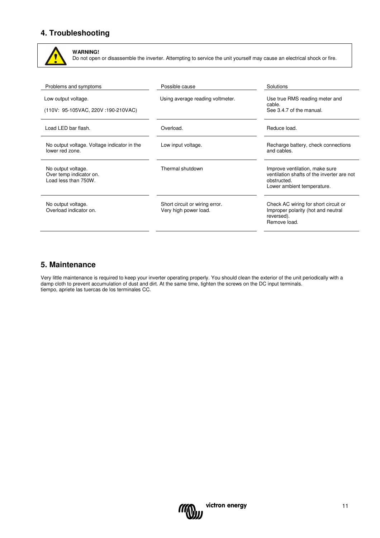# **4. Troubleshooting**



**WARNING!**  Do not open or disassemble the inverter. Attempting to service the unit yourself may cause an electrical shock or fire.

| Problems and symptoms                                                 | Possible cause                                          | Solutions                                                                                                                 |
|-----------------------------------------------------------------------|---------------------------------------------------------|---------------------------------------------------------------------------------------------------------------------------|
| Low output voltage.<br>(110V: 95-105VAC, 220V: 190-210VAC)            | Using average reading voltmeter.                        | Use true RMS reading meter and<br>cable.<br>See 3.4.7 of the manual.                                                      |
| Load LED bar flash.                                                   | Overload.                                               | Reduce load.                                                                                                              |
| No output voltage. Voltage indicator in the<br>lower red zone.        | Low input voltage.                                      | Recharge battery, check connections<br>and cables.                                                                        |
| No output voltage.<br>Over temp indicator on.<br>Load less than 750W. | Thermal shutdown                                        | Improve ventilation, make sure<br>ventilation shafts of the inverter are not<br>obstructed.<br>Lower ambient temperature. |
| No output voltage.<br>Overload indicator on.                          | Short circuit or wiring error.<br>Very high power load. | Check AC wiring for short circuit or<br>Improper polarity (hot and neutral<br>reversed).<br>Remove load.                  |

## **5. Maintenance**

Very little maintenance is required to keep your inverter operating properly. You should clean the exterior of the unit periodically with a damp cloth to prevent accumulation of dust and dirt. At the same time, tighten the screws on the DC input terminals. tiempo, apriete las tuercas de los terminales CC.